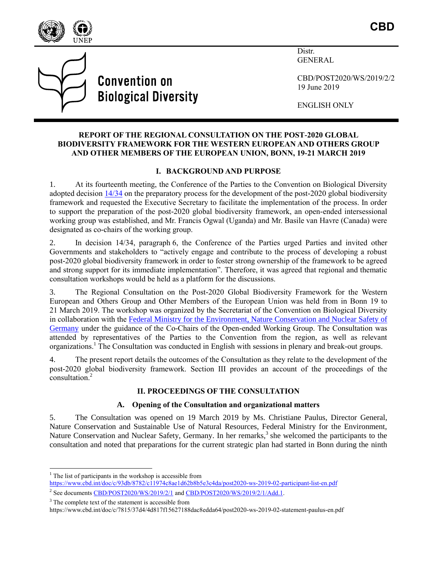

**Convention on Biological Diversity**  Distr. GENERAL

CBD/POST2020/WS/2019/2/2 19 June 2019

ENGLISH ONLY

### **REPORT OF THE REGIONAL CONSULTATION ON THE POST-2020 GLOBAL BIODIVERSITY FRAMEWORK FOR THE WESTERN EUROPEAN AND OTHERS GROUP AND OTHER MEMBERS OF THE EUROPEAN UNION, BONN, 19-21 MARCH 2019**

# **I. BACKGROUND AND PURPOSE**

1. At its fourteenth meeting, the Conference of the Parties to the Convention on Biological Diversity adopted decision [14/34](https://www.cbd.int/doc/decisions/cop-14/cop-14-dec-34-en.pdf) on the preparatory process for the development of the post-2020 global biodiversity framework and requested the Executive Secretary to facilitate the implementation of the process. In order to support the preparation of the post-2020 global biodiversity framework, an open-ended intersessional working group was established, and Mr. Francis Ogwal (Uganda) and Mr. Basile van Havre (Canada) were designated as co-chairs of the working group.

2. In decision 14/34, paragraph 6, the Conference of the Parties urged Parties and invited other Governments and stakeholders to "actively engage and contribute to the process of developing a robust post-2020 global biodiversity framework in order to foster strong ownership of the framework to be agreed and strong support for its immediate implementation". Therefore, it was agreed that regional and thematic consultation workshops would be held as a platform for the discussions.

3. The Regional Consultation on the Post-2020 Global Biodiversity Framework for the Western European and Others Group and Other Members of the European Union was held from in Bonn 19 to 21 March 2019. The workshop was organized by the Secretariat of the Convention on Biological Diversity in collaboration with the [Federal Ministry for the Environment, Nature Conservation and Nuclear Safety](https://www.bmu.de/en/) of [Germany](https://www.bmu.de/en/) under the guidance of the Co-Chairs of the Open-ended Working Group. The Consultation was attended by representatives of the Parties to the Convention from the region, as well as relevant organizations.<sup>1</sup> The Consultation was conducted in English with sessions in plenary and break-out groups.

4. The present report details the outcomes of the Consultation as they relate to the development of the post-2020 global biodiversity framework. Section III provides an account of the proceedings of the consultation. 2

# **II. PROCEEDINGS OF THE CONSULTATION**

# **A. Opening of the Consultation and organizational matters**

5. The Consultation was opened on 19 March 2019 by Ms. Christiane Paulus, Director General, Nature Conservation and Sustainable Use of Natural Resources, Federal Ministry for the Environment, Nature Conservation and Nuclear Safety, Germany. In her remarks,<sup>3</sup> she welcomed the participants to the consultation and noted that preparations for the current strategic plan had started in Bonn during the ninth

l

 $1$  The list of participants in the workshop is accessible from

<https://www.cbd.int/doc/c/93db/8782/c11974c8ae1d62b8b5e3c4da/post2020-ws-2019-02-participant-list-en.pdf> <sup>2</sup> See documents [CBD/POST2020/WS/2019/2/1](https://www.cbd.int/doc/c/4311/ded1/121a9b87eef0dddb818be16e/post2020-ws-2019-02-01-en.pdf) and CBD/POST2020/WS/2019/2/1/Add.1.

<sup>&</sup>lt;sup>3</sup> The complete text of the statement is accessible from

https://www.cbd.int/doc/c/7815/37d4/4d817f15627188dac8edda64/post2020-ws-2019-02-statement-paulus-en.pdf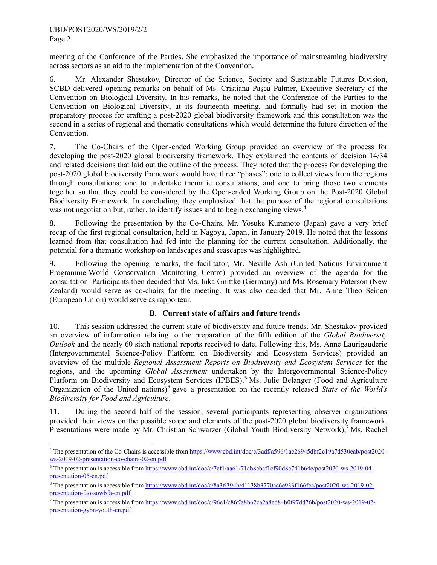$\overline{\phantom{a}}$ 

meeting of the Conference of the Parties. She emphasized the importance of mainstreaming biodiversity across sectors as an aid to the implementation of the Convention.

6. Mr. Alexander Shestakov, Director of the Science, Society and Sustainable Futures Division, SCBD delivered opening remarks on behalf of Ms. Cristiana Paşca Palmer, Executive Secretary of the Convention on Biological Diversity. In his remarks, he noted that the Conference of the Parties to the Convention on Biological Diversity, at its fourteenth meeting, had formally had set in motion the preparatory process for crafting a post-2020 global biodiversity framework and this consultation was the second in a series of regional and thematic consultations which would determine the future direction of the Convention.

7. The Co-Chairs of the Open-ended Working Group provided an overview of the process for developing the post-2020 global biodiversity framework. They explained the contents of decision 14/34 and related decisions that laid out the outline of the process. They noted that the process for developing the post-2020 global biodiversity framework would have three "phases": one to collect views from the regions through consultations; one to undertake thematic consultations; and one to bring those two elements together so that they could be considered by the Open-ended Working Group on the Post-2020 Global Biodiversity Framework. In concluding, they emphasized that the purpose of the regional consultations was not negotiation but, rather, to identify issues and to begin exchanging views.<sup>4</sup>

8. Following the presentation by the Co-Chairs, Mr. Yosuke Kuramoto (Japan) gave a very brief recap of the first regional consultation, held in Nagoya, Japan, in January 2019. He noted that the lessons learned from that consultation had fed into the planning for the current consultation. Additionally, the potential for a thematic workshop on landscapes and seascapes was highlighted.

9. Following the opening remarks, the facilitator, Mr. Neville Ash (United Nations Environment Programme-World Conservation Monitoring Centre) provided an overview of the agenda for the consultation. Participants then decided that Ms. Inka Gnittke (Germany) and Ms. Rosemary Paterson (New Zealand) would serve as co-chairs for the meeting. It was also decided that Mr. Anne Theo Seinen (European Union) would serve as rapporteur.

# **B. Current state of affairs and future trends**

10. This session addressed the current state of biodiversity and future trends. Mr. Shestakov provided an overview of information relating to the preparation of the fifth edition of the *Global Biodiversity Outlook* and the nearly 60 sixth national reports received to date. Following this, Ms. Anne Laurigauderie (Intergovernmental Science-Policy Platform on Biodiversity and Ecosystem Services) provided an overview of the multiple *Regional Assessment Reports on Biodiversity and Ecosystem Services* for the regions, and the upcoming *Global Assessment* undertaken by the Intergovernmental Science-Policy Platform on Biodiversity and Ecosystem Services (IPBES).<sup>5</sup> Ms. Julie Belanger (Food and Agriculture Organization of the United nations) 6 gave a presentation on the recently released *State of the World's Biodiversity for Food and Agriculture*.

11. During the second half of the session, several participants representing observer organizations provided their views on the possible scope and elements of the post-2020 global biodiversity framework. Presentations were made by Mr. Christian Schwarzer (Global Youth Biodiversity Network),<sup>7</sup> Ms. Rachel

<sup>&</sup>lt;sup>4</sup> The presentation of the Co-Chairs is accessible from [https://www.cbd.int/doc/c/3adf/a596/1ac26945dbf2c19a7d530eab/post2020](https://www.cbd.int/doc/c/3adf/a596/1ac26945dbf2c19a7d530eab/post2020-ws-2019-02-presentation-co-chairs-02-en.pdf) [ws-2019-02-presentation-co-chairs-02-en.pdf](https://www.cbd.int/doc/c/3adf/a596/1ac26945dbf2c19a7d530eab/post2020-ws-2019-02-presentation-co-chairs-02-en.pdf)

<sup>&</sup>lt;sup>5</sup> The presentation is accessible fro[m https://www.cbd.int/doc/c/7cf1/aa61/71ab8cbaf1cf90d8c741b64e/post2020-ws-2019-04](https://www.cbd.int/doc/c/7cf1/aa61/71ab8cbaf1cf90d8c741b64e/post2020-ws-2019-04-presentation-05-en.pdf) [presentation-05-en.pdf](https://www.cbd.int/doc/c/7cf1/aa61/71ab8cbaf1cf90d8c741b64e/post2020-ws-2019-04-presentation-05-en.pdf)

 $6$  The presentation is accessible from https://www.cbd.int/doc/c/8a3f/394b/41138b3770ac6e933f166fca/post2020-ws-2019-02presentation-fao-sowbfa-en.pdf

<sup>&</sup>lt;sup>7</sup> The presentation is accessible fro[m https://www.cbd.int/doc/c/96e1/c86f/a8b62ca2a8ed84b0f97dd76b/post2020-ws-2019-02](https://www.cbd.int/doc/c/96e1/c86f/a8b62ca2a8ed84b0f97dd76b/post2020-ws-2019-02-presentation-gybn-youth-en.pdf) [presentation-gybn-youth-en.pdf](https://www.cbd.int/doc/c/96e1/c86f/a8b62ca2a8ed84b0f97dd76b/post2020-ws-2019-02-presentation-gybn-youth-en.pdf)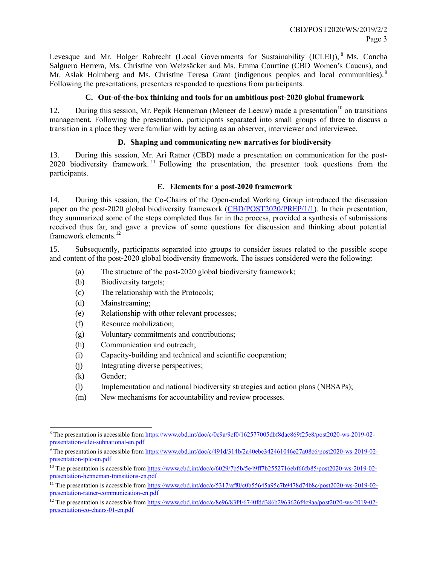Levesque and Mr. Holger Robrecht (Local Governments for Sustainability (ICLEI)), <sup>8</sup> Ms. Concha Salguero Herrera, Ms. Christine von Weizsäcker and Ms. Emma Courtine (CBD Women's Caucus), and Mr. Aslak Holmberg and Ms. Christine Teresa Grant (indigenous peoples and local communities).<sup>9</sup> Following the presentations, presenters responded to questions from participants.

### **C. Out-of-the-box thinking and tools for an ambitious post-2020 global framework**

12. During this session, Mr. Pepik Henneman (Meneer de Leeuw) made a presentation<sup>10</sup> on transitions management. Following the presentation, participants separated into small groups of three to discuss a transition in a place they were familiar with by acting as an observer, interviewer and interviewee.

### **D. Shaping and communicating new narratives for biodiversity**

13. During this session, Mr. Ari Ratner (CBD) made a presentation on communication for the post-2020 biodiversity framework.<sup>11</sup> Following the presentation, the presenter took questions from the participants.

### **E. Elements for a post-2020 framework**

14. During this session, the Co-Chairs of the Open-ended Working Group introduced the discussion paper on the post-2020 global biodiversity framework [\(CBD/POST2020/PREP/1/1\)](https://www.cbd.int/doc/c/d0f3/aca0/d42fa469029f5a4d69f4da8e/post2020-prep-01-01-en.pdf). In their presentation, they summarized some of the steps completed thus far in the process, provided a synthesis of submissions received thus far, and gave a preview of some questions for discussion and thinking about potential framework elements.<sup>12</sup>

15. Subsequently, participants separated into groups to consider issues related to the possible scope and content of the post-2020 global biodiversity framework. The issues considered were the following:

- (a) The structure of the post-2020 global biodiversity framework;
- (b) Biodiversity targets;
- (c) The relationship with the Protocols;
- (d) Mainstreaming;
- (e) Relationship with other relevant processes;
- (f) Resource mobilization;
- (g) Voluntary commitments and contributions;
- (h) Communication and outreach;
- (i) Capacity-building and technical and scientific cooperation;
- (j) Integrating diverse perspectives;
- (k) Gender;

l

- (l) Implementation and national biodiversity strategies and action plans (NBSAPs);
- (m) New mechanisms for accountability and review processes.

<sup>&</sup>lt;sup>8</sup> The presentation is accessible fro[m https://www.cbd.int/doc/c/0c9a/9cf0/162577005dbf8dac869f25e8/post2020-ws-2019-02](https://www.cbd.int/doc/c/0c9a/9cf0/162577005dbf8dac869f25e8/post2020-ws-2019-02-presentation-iclei-subnational-en.pdf) [presentation-iclei-subnational-en.pdf](https://www.cbd.int/doc/c/0c9a/9cf0/162577005dbf8dac869f25e8/post2020-ws-2019-02-presentation-iclei-subnational-en.pdf)

<sup>9</sup> The presentation is accessible fro[m https://www.cbd.int/doc/c/491d/314b/2a40ebc342461046e27a08c6/post2020-ws-2019-02](https://www.cbd.int/doc/c/491d/314b/2a40ebc342461046e27a08c6/post2020-ws-2019-02-presentation-iplc-en.pdf) [presentation-iplc-en.pdf](https://www.cbd.int/doc/c/491d/314b/2a40ebc342461046e27a08c6/post2020-ws-2019-02-presentation-iplc-en.pdf)

<sup>&</sup>lt;sup>10</sup> The presentation is accessible from https://www.cbd.int/doc/c/6029/7b5b/5e49ff7b2552716ebf66fb85/post2020-ws-2019-02presentation-henneman-transitions-en.pdf

<sup>&</sup>lt;sup>11</sup> The presentation is accessible from https://www.cbd.int/doc/c/5317/aff0/c0b55645a95c7b9478d74b8c/post2020-ws-2019-02presentation-ratner-communication-en.pdf

<sup>&</sup>lt;sup>12</sup> The presentation is accessible fro[m https://www.cbd.int/doc/c/8e96/83f4/6740fdd386b2963626f4c9aa/post2020-ws-2019-02](https://www.cbd.int/doc/c/8e96/83f4/6740fdd386b2963626f4c9aa/post2020-ws-2019-02-presentation-co-chairs-01-en.pdf) [presentation-co-chairs-01-en.pdf](https://www.cbd.int/doc/c/8e96/83f4/6740fdd386b2963626f4c9aa/post2020-ws-2019-02-presentation-co-chairs-01-en.pdf)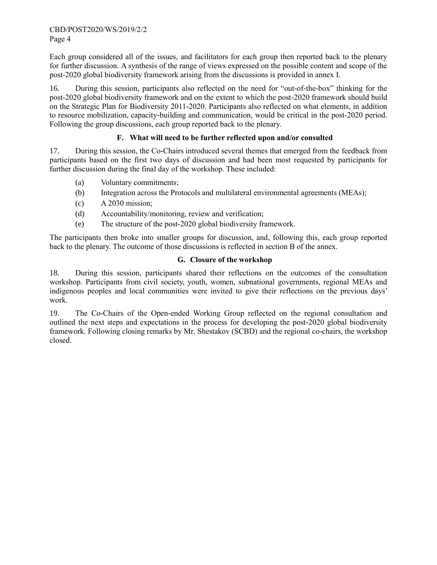Each group considered all of the issues, and facilitators for each group then reported back to the plenary for further discussion. A synthesis of the range of views expressed on the possible content and scope of the post-2020 global biodiversity framework arising from the discussions is provided in annex I.

16. During this session, participants also reflected on the need for "out-of-the-box" thinking for the post-2020 global biodiversity framework and on the extent to which the post-2020 framework should build on the Strategic Plan for Biodiversity 2011-2020. Participants also reflected on what elements, in addition to resource mobilization, capacity-building and communication, would be critical in the post-2020 period. Following the group discussions, each group reported back to the plenary.

# **F. What will need to be further reflected upon and/or consulted**

17. During this session, the Co-Chairs introduced several themes that emerged from the feedback from participants based on the first two days of discussion and had been most requested by participants for further discussion during the final day of the workshop. These included:

- (a) Voluntary commitments;
- (b) Integration across the Protocols and multilateral environmental agreements (MEAs);
- (c) A 2030 mission;
- (d) Accountability/monitoring, review and verification;
- (e) The structure of the post-2020 global biodiversity framework.

The participants then broke into smaller groups for discussion, and, following this, each group reported back to the plenary. The outcome of those discussions is reflected in section B of the annex.

# **G. Closure of the workshop**

18. During this session, participants shared their reflections on the outcomes of the consultation workshop. Participants from civil society, youth, women, subnational governments, regional MEAs and indigenous peoples and local communities were invited to give their reflections on the previous days' work.

19. The Co-Chairs of the Open-ended Working Group reflected on the regional consultation and outlined the next steps and expectations in the process for developing the post-2020 global biodiversity framework. Following closing remarks by Mr. Shestakov (SCBD) and the regional co-chairs, the workshop closed.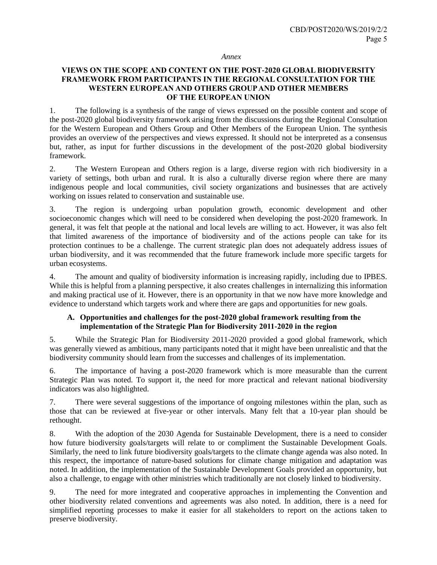#### *Annex*

#### **VIEWS ON THE SCOPE AND CONTENT ON THE POST-2020 GLOBAL BIODIVERSITY FRAMEWORK FROM PARTICIPANTS IN THE REGIONAL CONSULTATION FOR THE WESTERN EUROPEAN AND OTHERS GROUP AND OTHER MEMBERS OF THE EUROPEAN UNION**

1. The following is a synthesis of the range of views expressed on the possible content and scope of the post-2020 global biodiversity framework arising from the discussions during the Regional Consultation for the Western European and Others Group and Other Members of the European Union. The synthesis provides an overview of the perspectives and views expressed. It should not be interpreted as a consensus but, rather, as input for further discussions in the development of the post-2020 global biodiversity framework.

2. The Western European and Others region is a large, diverse region with rich biodiversity in a variety of settings, both urban and rural. It is also a culturally diverse region where there are many indigenous people and local communities, civil society organizations and businesses that are actively working on issues related to conservation and sustainable use.

3. The region is undergoing urban population growth, economic development and other socioeconomic changes which will need to be considered when developing the post-2020 framework. In general, it was felt that people at the national and local levels are willing to act. However, it was also felt that limited awareness of the importance of biodiversity and of the actions people can take for its protection continues to be a challenge. The current strategic plan does not adequately address issues of urban biodiversity, and it was recommended that the future framework include more specific targets for urban ecosystems.

4. The amount and quality of biodiversity information is increasing rapidly, including due to IPBES. While this is helpful from a planning perspective, it also creates challenges in internalizing this information and making practical use of it. However, there is an opportunity in that we now have more knowledge and evidence to understand which targets work and where there are gaps and opportunities for new goals.

#### **A. Opportunities and challenges for the post-2020 global framework resulting from the implementation of the Strategic Plan for Biodiversity 2011-2020 in the region**

5. While the Strategic Plan for Biodiversity 2011-2020 provided a good global framework, which was generally viewed as ambitious, many participants noted that it might have been unrealistic and that the biodiversity community should learn from the successes and challenges of its implementation.

6. The importance of having a post-2020 framework which is more measurable than the current Strategic Plan was noted. To support it, the need for more practical and relevant national biodiversity indicators was also highlighted.

7. There were several suggestions of the importance of ongoing milestones within the plan, such as those that can be reviewed at five-year or other intervals. Many felt that a 10-year plan should be rethought.

8. With the adoption of the 2030 Agenda for Sustainable Development, there is a need to consider how future biodiversity goals/targets will relate to or compliment the Sustainable Development Goals. Similarly, the need to link future biodiversity goals/targets to the climate change agenda was also noted. In this respect, the importance of nature-based solutions for climate change mitigation and adaptation was noted. In addition, the implementation of the Sustainable Development Goals provided an opportunity, but also a challenge, to engage with other ministries which traditionally are not closely linked to biodiversity.

9. The need for more integrated and cooperative approaches in implementing the Convention and other biodiversity related conventions and agreements was also noted. In addition, there is a need for simplified reporting processes to make it easier for all stakeholders to report on the actions taken to preserve biodiversity.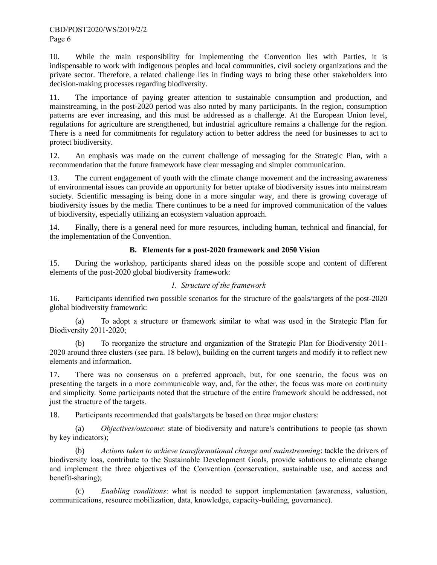10. While the main responsibility for implementing the Convention lies with Parties, it is indispensable to work with indigenous peoples and local communities, civil society organizations and the private sector. Therefore, a related challenge lies in finding ways to bring these other stakeholders into decision-making processes regarding biodiversity.

11. The importance of paying greater attention to sustainable consumption and production, and mainstreaming, in the post-2020 period was also noted by many participants. In the region, consumption patterns are ever increasing, and this must be addressed as a challenge. At the European Union level, regulations for agriculture are strengthened, but industrial agriculture remains a challenge for the region. There is a need for commitments for regulatory action to better address the need for businesses to act to protect biodiversity.

12. An emphasis was made on the current challenge of messaging for the Strategic Plan, with a recommendation that the future framework have clear messaging and simpler communication.

13. The current engagement of youth with the climate change movement and the increasing awareness of environmental issues can provide an opportunity for better uptake of biodiversity issues into mainstream society. Scientific messaging is being done in a more singular way, and there is growing coverage of biodiversity issues by the media. There continues to be a need for improved communication of the values of biodiversity, especially utilizing an ecosystem valuation approach.

14. Finally, there is a general need for more resources, including human, technical and financial, for the implementation of the Convention.

#### **B. Elements for a post-2020 framework and 2050 Vision**

15. During the workshop, participants shared ideas on the possible scope and content of different elements of the post-2020 global biodiversity framework:

### *1. Structure of the framework*

16. Participants identified two possible scenarios for the structure of the goals/targets of the post-2020 global biodiversity framework:

(a) To adopt a structure or framework similar to what was used in the Strategic Plan for Biodiversity 2011-2020;

(b) To reorganize the structure and organization of the Strategic Plan for Biodiversity 2011- 2020 around three clusters (see para. [18](#page-5-0) below), building on the current targets and modify it to reflect new elements and information.

17. There was no consensus on a preferred approach, but, for one scenario, the focus was on presenting the targets in a more communicable way, and, for the other, the focus was more on continuity and simplicity. Some participants noted that the structure of the entire framework should be addressed, not just the structure of the targets.

<span id="page-5-0"></span>18. Participants recommended that goals/targets be based on three major clusters:

(a) *Objectives/outcome*: state of biodiversity and nature's contributions to people (as shown by key indicators);

(b) *Actions taken to achieve transformational change and mainstreaming*: tackle the drivers of biodiversity loss, contribute to the Sustainable Development Goals, provide solutions to climate change and implement the three objectives of the Convention (conservation, sustainable use, and access and benefit-sharing);

(c) *Enabling conditions*: what is needed to support implementation (awareness, valuation, communications, resource mobilization, data, knowledge, capacity-building, governance).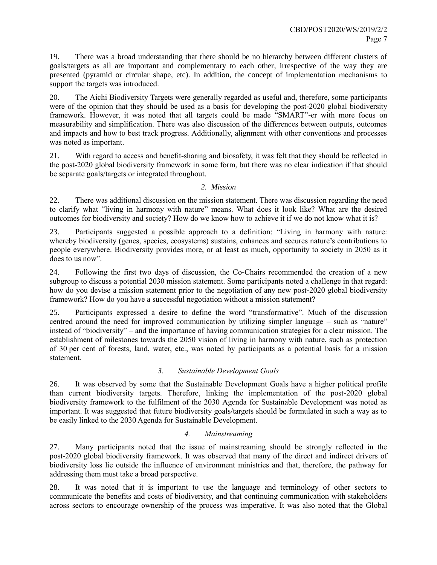19. There was a broad understanding that there should be no hierarchy between different clusters of goals/targets as all are important and complementary to each other, irrespective of the way they are presented (pyramid or circular shape, etc). In addition, the concept of implementation mechanisms to support the targets was introduced.

20. The Aichi Biodiversity Targets were generally regarded as useful and, therefore, some participants were of the opinion that they should be used as a basis for developing the post-2020 global biodiversity framework. However, it was noted that all targets could be made "SMART"-er with more focus on measurability and simplification. There was also discussion of the differences between outputs, outcomes and impacts and how to best track progress. Additionally, alignment with other conventions and processes was noted as important.

21. With regard to access and benefit-sharing and biosafety, it was felt that they should be reflected in the post-2020 global biodiversity framework in some form, but there was no clear indication if that should be separate goals/targets or integrated throughout.

#### *2. Mission*

22. There was additional discussion on the mission statement. There was discussion regarding the need to clarify what "living in harmony with nature" means. What does it look like? What are the desired outcomes for biodiversity and society? How do we know how to achieve it if we do not know what it is?

23. Participants suggested a possible approach to a definition: "Living in harmony with nature: whereby biodiversity (genes, species, ecosystems) sustains, enhances and secures nature's contributions to people everywhere. Biodiversity provides more, or at least as much, opportunity to society in 2050 as it does to us now".

24. Following the first two days of discussion, the Co-Chairs recommended the creation of a new subgroup to discuss a potential 2030 mission statement. Some participants noted a challenge in that regard: how do you devise a mission statement prior to the negotiation of any new post-2020 global biodiversity framework? How do you have a successful negotiation without a mission statement?

25. Participants expressed a desire to define the word "transformative". Much of the discussion centred around the need for improved communication by utilizing simpler language – such as "nature" instead of "biodiversity" – and the importance of having communication strategies for a clear mission. The establishment of milestones towards the 2050 vision of living in harmony with nature, such as protection of 30 per cent of forests, land, water, etc., was noted by participants as a potential basis for a mission statement.

# *3. Sustainable Development Goals*

26. It was observed by some that the Sustainable Development Goals have a higher political profile than current biodiversity targets. Therefore, linking the implementation of the post-2020 global biodiversity framework to the fulfilment of the 2030 Agenda for Sustainable Development was noted as important. It was suggested that future biodiversity goals/targets should be formulated in such a way as to be easily linked to the 2030 Agenda for Sustainable Development.

#### *4. Mainstreaming*

27. Many participants noted that the issue of mainstreaming should be strongly reflected in the post-2020 global biodiversity framework. It was observed that many of the direct and indirect drivers of biodiversity loss lie outside the influence of environment ministries and that, therefore, the pathway for addressing them must take a broad perspective.

28. It was noted that it is important to use the language and terminology of other sectors to communicate the benefits and costs of biodiversity, and that continuing communication with stakeholders across sectors to encourage ownership of the process was imperative. It was also noted that the Global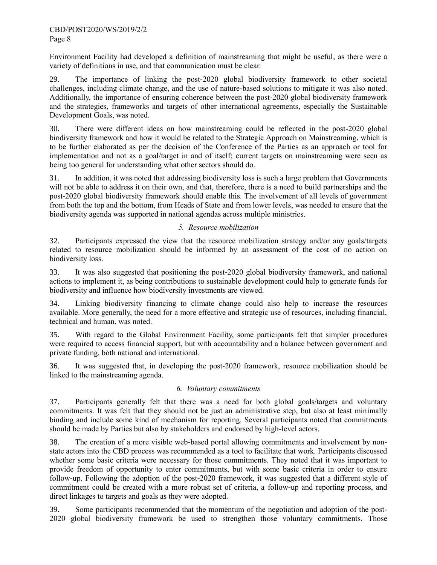Environment Facility had developed a definition of mainstreaming that might be useful, as there were a variety of definitions in use, and that communication must be clear.

29. The importance of linking the post-2020 global biodiversity framework to other societal challenges, including climate change, and the use of nature-based solutions to mitigate it was also noted. Additionally, the importance of ensuring coherence between the post-2020 global biodiversity framework and the strategies, frameworks and targets of other international agreements, especially the Sustainable Development Goals, was noted.

30. There were different ideas on how mainstreaming could be reflected in the post-2020 global biodiversity framework and how it would be related to the Strategic Approach on Mainstreaming, which is to be further elaborated as per the decision of the Conference of the Parties as an approach or tool for implementation and not as a goal/target in and of itself; current targets on mainstreaming were seen as being too general for understanding what other sectors should do.

31. In addition, it was noted that addressing biodiversity loss is such a large problem that Governments will not be able to address it on their own, and that, therefore, there is a need to build partnerships and the post-2020 global biodiversity framework should enable this. The involvement of all levels of government from both the top and the bottom, from Heads of State and from lower levels, was needed to ensure that the biodiversity agenda was supported in national agendas across multiple ministries.

# *5. Resource mobilization*

32. Participants expressed the view that the resource mobilization strategy and/or any goals/targets related to resource mobilization should be informed by an assessment of the cost of no action on biodiversity loss.

33. It was also suggested that positioning the post-2020 global biodiversity framework, and national actions to implement it, as being contributions to sustainable development could help to generate funds for biodiversity and influence how biodiversity investments are viewed.

34. Linking biodiversity financing to climate change could also help to increase the resources available. More generally, the need for a more effective and strategic use of resources, including financial, technical and human, was noted.

35. With regard to the Global Environment Facility, some participants felt that simpler procedures were required to access financial support, but with accountability and a balance between government and private funding, both national and international.

36. It was suggested that, in developing the post-2020 framework, resource mobilization should be linked to the mainstreaming agenda.

### *6. Voluntary commitments*

37. Participants generally felt that there was a need for both global goals/targets and voluntary commitments. It was felt that they should not be just an administrative step, but also at least minimally binding and include some kind of mechanism for reporting. Several participants noted that commitments should be made by Parties but also by stakeholders and endorsed by high-level actors.

38. The creation of a more visible web-based portal allowing commitments and involvement by nonstate actors into the CBD process was recommended as a tool to facilitate that work. Participants discussed whether some basic criteria were necessary for those commitments. They noted that it was important to provide freedom of opportunity to enter commitments, but with some basic criteria in order to ensure follow-up. Following the adoption of the post-2020 framework, it was suggested that a different style of commitment could be created with a more robust set of criteria, a follow-up and reporting process, and direct linkages to targets and goals as they were adopted.

39. Some participants recommended that the momentum of the negotiation and adoption of the post-2020 global biodiversity framework be used to strengthen those voluntary commitments. Those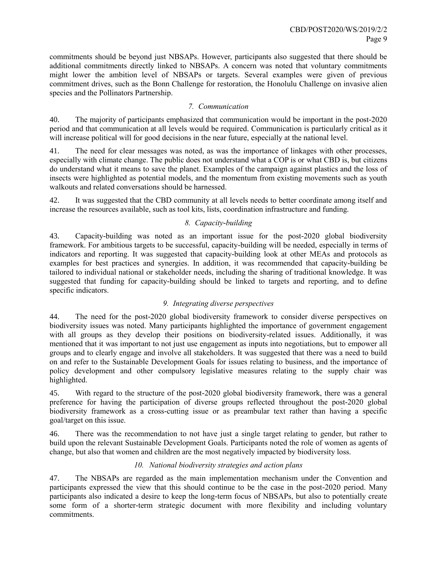commitments should be beyond just NBSAPs. However, participants also suggested that there should be additional commitments directly linked to NBSAPs. A concern was noted that voluntary commitments might lower the ambition level of NBSAPs or targets. Several examples were given of previous commitment drives, such as the Bonn Challenge for restoration, the Honolulu Challenge on invasive alien species and the Pollinators Partnership.

### *7. Communication*

40. The majority of participants emphasized that communication would be important in the post-2020 period and that communication at all levels would be required. Communication is particularly critical as it will increase political will for good decisions in the near future, especially at the national level.

41. The need for clear messages was noted, as was the importance of linkages with other processes, especially with climate change. The public does not understand what a COP is or what CBD is, but citizens do understand what it means to save the planet. Examples of the campaign against plastics and the loss of insects were highlighted as potential models, and the momentum from existing movements such as youth walkouts and related conversations should be harnessed.

42. It was suggested that the CBD community at all levels needs to better coordinate among itself and increase the resources available, such as tool kits, lists, coordination infrastructure and funding.

# *8. Capacity-building*

43. Capacity-building was noted as an important issue for the post-2020 global biodiversity framework. For ambitious targets to be successful, capacity-building will be needed, especially in terms of indicators and reporting. It was suggested that capacity-building look at other MEAs and protocols as examples for best practices and synergies. In addition, it was recommended that capacity-building be tailored to individual national or stakeholder needs, including the sharing of traditional knowledge. It was suggested that funding for capacity-building should be linked to targets and reporting, and to define specific indicators.

# *9. Integrating diverse perspectives*

44. The need for the post-2020 global biodiversity framework to consider diverse perspectives on biodiversity issues was noted. Many participants highlighted the importance of government engagement with all groups as they develop their positions on biodiversity-related issues. Additionally, it was mentioned that it was important to not just use engagement as inputs into negotiations, but to empower all groups and to clearly engage and involve all stakeholders. It was suggested that there was a need to build on and refer to the Sustainable Development Goals for issues relating to business, and the importance of policy development and other compulsory legislative measures relating to the supply chair was highlighted.

45. With regard to the structure of the post-2020 global biodiversity framework, there was a general preference for having the participation of diverse groups reflected throughout the post-2020 global biodiversity framework as a cross-cutting issue or as preambular text rather than having a specific goal/target on this issue.

46. There was the recommendation to not have just a single target relating to gender, but rather to build upon the relevant Sustainable Development Goals. Participants noted the role of women as agents of change, but also that women and children are the most negatively impacted by biodiversity loss.

# *10. National biodiversity strategies and action plans*

47. The NBSAPs are regarded as the main implementation mechanism under the Convention and participants expressed the view that this should continue to be the case in the post-2020 period. Many participants also indicated a desire to keep the long-term focus of NBSAPs, but also to potentially create some form of a shorter-term strategic document with more flexibility and including voluntary commitments.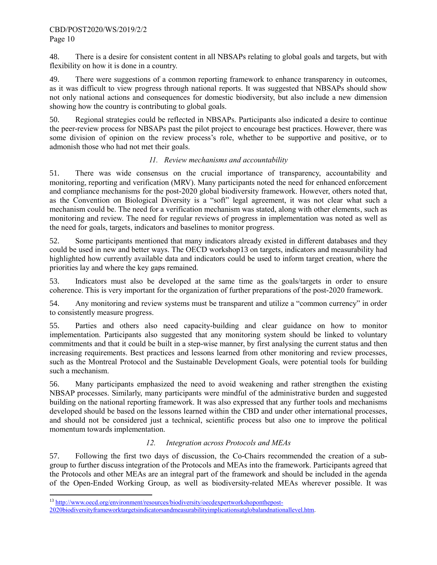48. There is a desire for consistent content in all NBSAPs relating to global goals and targets, but with flexibility on how it is done in a country.

49. There were suggestions of a common reporting framework to enhance transparency in outcomes, as it was difficult to view progress through national reports. It was suggested that NBSAPs should show not only national actions and consequences for domestic biodiversity, but also include a new dimension showing how the country is contributing to global goals.

50. Regional strategies could be reflected in NBSAPs. Participants also indicated a desire to continue the peer-review process for NBSAPs past the pilot project to encourage best practices. However, there was some division of opinion on the review process's role, whether to be supportive and positive, or to admonish those who had not met their goals.

### *11. Review mechanisms and accountability*

51. There was wide consensus on the crucial importance of transparency, accountability and monitoring, reporting and verification (MRV). Many participants noted the need for enhanced enforcement and compliance mechanisms for the post-2020 global biodiversity framework. However, others noted that, as the Convention on Biological Diversity is a "soft" legal agreement, it was not clear what such a mechanism could be. The need for a verification mechanism was stated, along with other elements, such as monitoring and review. The need for regular reviews of progress in implementation was noted as well as the need for goals, targets, indicators and baselines to monitor progress.

52. Some participants mentioned that many indicators already existed in different databases and they could be used in new and better ways. The OECD workshop13 on targets, indicators and measurability had highlighted how currently available data and indicators could be used to inform target creation, where the priorities lay and where the key gaps remained.

53. Indicators must also be developed at the same time as the goals/targets in order to ensure coherence. This is very important for the organization of further preparations of the post-2020 framework.

54. Any monitoring and review systems must be transparent and utilize a "common currency" in order to consistently measure progress.

55. Parties and others also need capacity-building and clear guidance on how to monitor implementation. Participants also suggested that any monitoring system should be linked to voluntary commitments and that it could be built in a step-wise manner, by first analysing the current status and then increasing requirements. Best practices and lessons learned from other monitoring and review processes, such as the Montreal Protocol and the Sustainable Development Goals, were potential tools for building such a mechanism.

56. Many participants emphasized the need to avoid weakening and rather strengthen the existing NBSAP processes. Similarly, many participants were mindful of the administrative burden and suggested building on the national reporting framework. It was also expressed that any further tools and mechanisms developed should be based on the lessons learned within the CBD and under other international processes, and should not be considered just a technical, scientific process but also one to improve the political momentum towards implementation.

# *12. Integration across Protocols and MEAs*

57. Following the first two days of discussion, the Co-Chairs recommended the creation of a subgroup to further discuss integration of the Protocols and MEAs into the framework. Participants agreed that the Protocols and other MEAs are an integral part of the framework and should be included in the agenda of the Open-Ended Working Group, as well as biodiversity-related MEAs wherever possible. It was

l

<sup>&</sup>lt;sup>13</sup> [http://www.oecd.org/environment/resources/biodiversity/oecdexpertworkshoponthepost-](http://www.oecd.org/environment/resources/biodiversity/oecdexpertworkshoponthepost-2020biodiversityframeworktargetsindicatorsandmeasurabilityimplicationsatglobalandnationallevel.htm)

[<sup>2020</sup>biodiversityframeworktargetsindicatorsandmeasurabilityimplicationsatglobalandnationallevel.htm.](http://www.oecd.org/environment/resources/biodiversity/oecdexpertworkshoponthepost-2020biodiversityframeworktargetsindicatorsandmeasurabilityimplicationsatglobalandnationallevel.htm)